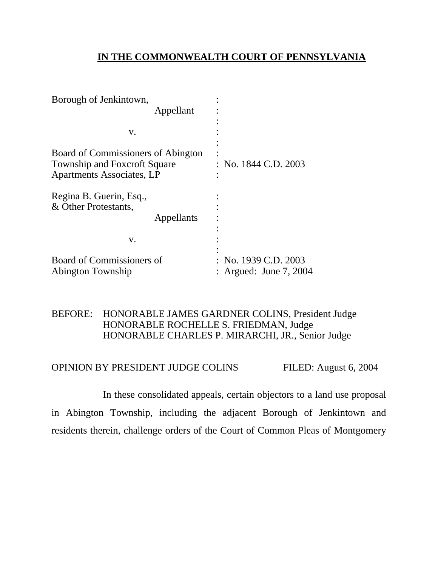# **IN THE COMMONWEALTH COURT OF PENNSYLVANIA**

| Borough of Jenkintown,                                                                                 |                                                |
|--------------------------------------------------------------------------------------------------------|------------------------------------------------|
| Appellant                                                                                              |                                                |
|                                                                                                        |                                                |
| V.                                                                                                     |                                                |
| Board of Commissioners of Abington<br><b>Township and Foxcroft Square</b><br>Apartments Associates, LP | : No. 1844 C.D. 2003                           |
| Regina B. Guerin, Esq.,<br>& Other Protestants,<br>Appellants                                          |                                                |
| V.                                                                                                     |                                                |
| Board of Commissioners of<br>Abington Township                                                         | : No. 1939 C.D. 2003<br>: Argued: June 7, 2004 |

## BEFORE: HONORABLE JAMES GARDNER COLINS, President Judge HONORABLE ROCHELLE S. FRIEDMAN, Judge HONORABLE CHARLES P. MIRARCHI, JR., Senior Judge

# OPINION BY PRESIDENT JUDGE COLINS FILED: August 6, 2004

 In these consolidated appeals, certain objectors to a land use proposal in Abington Township, including the adjacent Borough of Jenkintown and residents therein, challenge orders of the Court of Common Pleas of Montgomery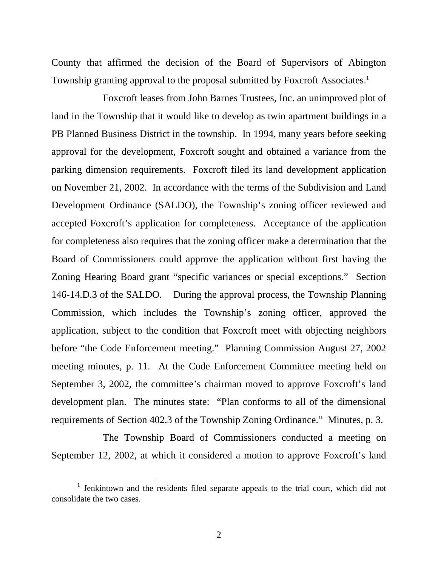County that affirmed the decision of the Board of Supervisors of Abington Township granting approval to the proposal submitted by Foxcroft Associates.<sup>1</sup>

 Foxcroft leases from John Barnes Trustees, Inc. an unimproved plot of land in the Township that it would like to develop as twin apartment buildings in a PB Planned Business District in the township. In 1994, many years before seeking approval for the development, Foxcroft sought and obtained a variance from the parking dimension requirements. Foxcroft filed its land development application on November 21, 2002. In accordance with the terms of the Subdivision and Land Development Ordinance (SALDO), the Township's zoning officer reviewed and accepted Foxcroft's application for completeness. Acceptance of the application for completeness also requires that the zoning officer make a determination that the Board of Commissioners could approve the application without first having the Zoning Hearing Board grant "specific variances or special exceptions." Section 146-14.D.3 of the SALDO. During the approval process, the Township Planning Commission, which includes the Township's zoning officer, approved the application, subject to the condition that Foxcroft meet with objecting neighbors before "the Code Enforcement meeting." Planning Commission August 27, 2002 meeting minutes, p. 11. At the Code Enforcement Committee meeting held on September 3, 2002, the committee's chairman moved to approve Foxcroft's land development plan. The minutes state: "Plan conforms to all of the dimensional requirements of Section 402.3 of the Township Zoning Ordinance." Minutes, p. 3.

 The Township Board of Commissioners conducted a meeting on September 12, 2002, at which it considered a motion to approve Foxcroft's land

<span id="page-1-0"></span><sup>&</sup>lt;u>1</u>  $\frac{1}{1}$  Jenkintown and the residents filed separate appeals to the trial court, which did not consolidate the two cases.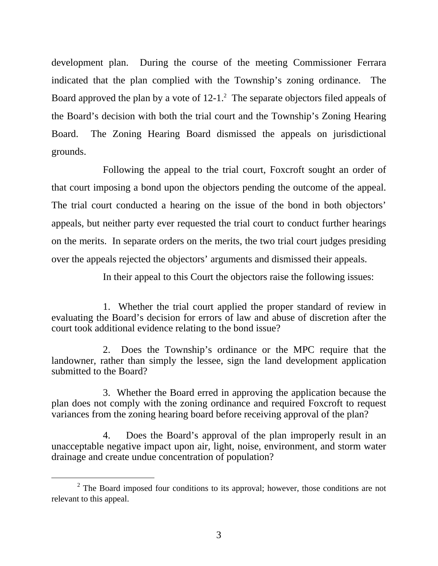development plan. During the course of the meeting Commissioner Ferrara indicated that the plan complied with the Township's zoning ordinance. The Board approved the plan by a vote of  $12-1$  $12-1$  $12-1$ .<sup>2</sup> The separate objectors filed appeals of the Board's decision with both the trial court and the Township's Zoning Hearing Board. The Zoning Hearing Board dismissed the appeals on jurisdictional grounds.

 Following the appeal to the trial court, Foxcroft sought an order of that court imposing a bond upon the objectors pending the outcome of the appeal. The trial court conducted a hearing on the issue of the bond in both objectors' appeals, but neither party ever requested the trial court to conduct further hearings on the merits. In separate orders on the merits, the two trial court judges presiding over the appeals rejected the objectors' arguments and dismissed their appeals.

In their appeal to this Court the objectors raise the following issues:

 1. Whether the trial court applied the proper standard of review in evaluating the Board's decision for errors of law and abuse of discretion after the court took additional evidence relating to the bond issue?

 2. Does the Township's ordinance or the MPC require that the landowner, rather than simply the lessee, sign the land development application submitted to the Board?

 3. Whether the Board erred in approving the application because the plan does not comply with the zoning ordinance and required Foxcroft to request variances from the zoning hearing board before receiving approval of the plan?

 4. Does the Board's approval of the plan improperly result in an unacceptable negative impact upon air, light, noise, environment, and storm water drainage and create undue concentration of population?

<span id="page-2-0"></span> $\frac{1}{2}$  $2^{\circ}$  The Board imposed four conditions to its approval; however, those conditions are not relevant to this appeal.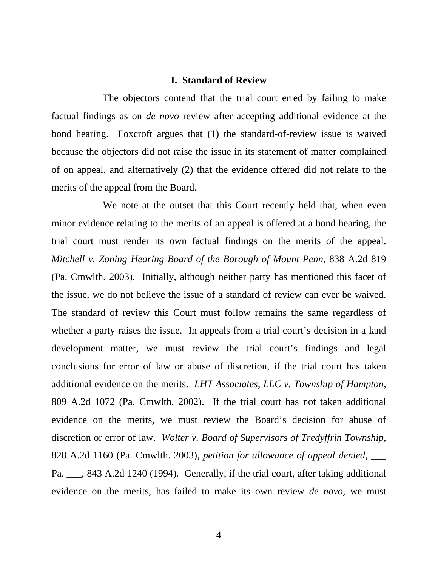#### **I. Standard of Review**

 The objectors contend that the trial court erred by failing to make factual findings as on *de novo* review after accepting additional evidence at the bond hearing. Foxcroft argues that (1) the standard-of-review issue is waived because the objectors did not raise the issue in its statement of matter complained of on appeal, and alternatively (2) that the evidence offered did not relate to the merits of the appeal from the Board.

 We note at the outset that this Court recently held that, when even minor evidence relating to the merits of an appeal is offered at a bond hearing, the trial court must render its own factual findings on the merits of the appeal. *Mitchell v. Zoning Hearing Board of the Borough of Mount Penn*, 838 A.2d 819 (Pa. Cmwlth. 2003). Initially, although neither party has mentioned this facet of the issue, we do not believe the issue of a standard of review can ever be waived. The standard of review this Court must follow remains the same regardless of whether a party raises the issue. In appeals from a trial court's decision in a land development matter, we must review the trial court's findings and legal conclusions for error of law or abuse of discretion, if the trial court has taken additional evidence on the merits. *LHT Associates, LLC v. Township of Hampton*, 809 A.2d 1072 (Pa. Cmwlth. 2002). If the trial court has not taken additional evidence on the merits, we must review the Board's decision for abuse of discretion or error of law. *Wolter v. Board of Supervisors of Tredyffrin Township*, 828 A.2d 1160 (Pa. Cmwlth. 2003), *petition for allowance of appeal denied*, \_\_\_ Pa. \_\_\_, 843 A.2d 1240 (1994). Generally, if the trial court, after taking additional evidence on the merits, has failed to make its own review *de novo*, we must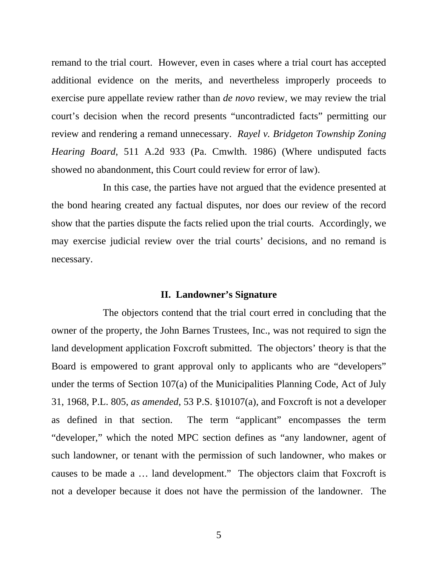remand to the trial court. However, even in cases where a trial court has accepted additional evidence on the merits, and nevertheless improperly proceeds to exercise pure appellate review rather than *de novo* review, we may review the trial court's decision when the record presents "uncontradicted facts" permitting our review and rendering a remand unnecessary. *Rayel v. Bridgeton Township Zoning Hearing Board*, 511 A.2d 933 (Pa. Cmwlth. 1986) (Where undisputed facts showed no abandonment, this Court could review for error of law).

 In this case, the parties have not argued that the evidence presented at the bond hearing created any factual disputes, nor does our review of the record show that the parties dispute the facts relied upon the trial courts. Accordingly, we may exercise judicial review over the trial courts' decisions, and no remand is necessary.

#### **II. Landowner's Signature**

 The objectors contend that the trial court erred in concluding that the owner of the property, the John Barnes Trustees, Inc., was not required to sign the land development application Foxcroft submitted. The objectors' theory is that the Board is empowered to grant approval only to applicants who are "developers" under the terms of Section 107(a) of the Municipalities Planning Code, Act of July 31, 1968, P.L. 805, *as amended*, 53 P.S. §10107(a), and Foxcroft is not a developer as defined in that section. The term "applicant" encompasses the term "developer," which the noted MPC section defines as "any landowner, agent of such landowner, or tenant with the permission of such landowner, who makes or causes to be made a … land development." The objectors claim that Foxcroft is not a developer because it does not have the permission of the landowner. The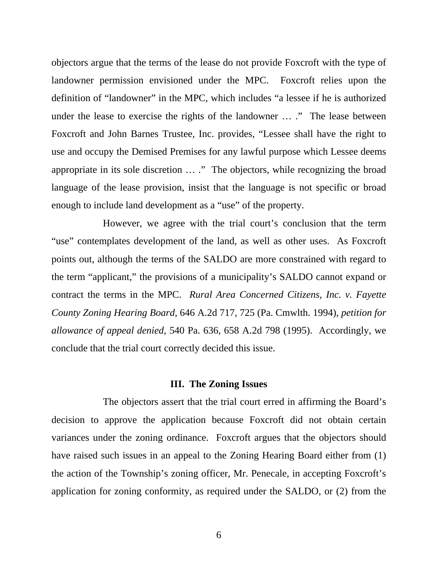objectors argue that the terms of the lease do not provide Foxcroft with the type of landowner permission envisioned under the MPC. Foxcroft relies upon the definition of "landowner" in the MPC, which includes "a lessee if he is authorized under the lease to exercise the rights of the landowner ... ." The lease between Foxcroft and John Barnes Trustee, Inc. provides, "Lessee shall have the right to use and occupy the Demised Premises for any lawful purpose which Lessee deems appropriate in its sole discretion … ." The objectors, while recognizing the broad language of the lease provision, insist that the language is not specific or broad enough to include land development as a "use" of the property.

 However, we agree with the trial court's conclusion that the term "use" contemplates development of the land, as well as other uses. As Foxcroft points out, although the terms of the SALDO are more constrained with regard to the term "applicant," the provisions of a municipality's SALDO cannot expand or contract the terms in the MPC. *Rural Area Concerned Citizens, Inc. v. Fayette County Zoning Hearing Board*, 646 A.2d 717, 725 (Pa. Cmwlth. 1994), *petition for allowance of appeal denied*, 540 Pa. 636, 658 A.2d 798 (1995). Accordingly, we conclude that the trial court correctly decided this issue.

#### **III. The Zoning Issues**

 The objectors assert that the trial court erred in affirming the Board's decision to approve the application because Foxcroft did not obtain certain variances under the zoning ordinance. Foxcroft argues that the objectors should have raised such issues in an appeal to the Zoning Hearing Board either from (1) the action of the Township's zoning officer, Mr. Penecale, in accepting Foxcroft's application for zoning conformity, as required under the SALDO, or (2) from the

6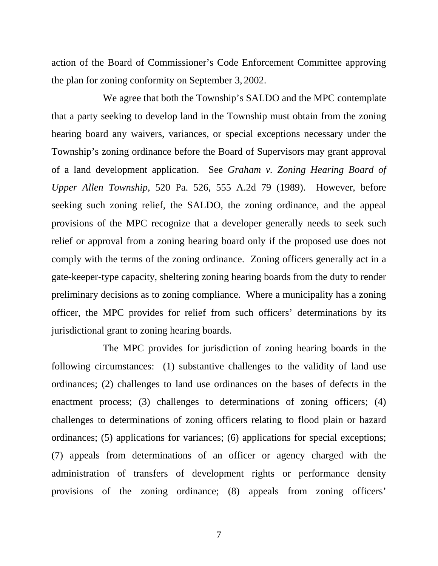action of the Board of Commissioner's Code Enforcement Committee approving the plan for zoning conformity on September 3, 2002.

 We agree that both the Township's SALDO and the MPC contemplate that a party seeking to develop land in the Township must obtain from the zoning hearing board any waivers, variances, or special exceptions necessary under the Township's zoning ordinance before the Board of Supervisors may grant approval of a land development application. See *Graham v. Zoning Hearing Board of Upper Allen Township*, 520 Pa. 526, 555 A.2d 79 (1989). However, before seeking such zoning relief, the SALDO, the zoning ordinance, and the appeal provisions of the MPC recognize that a developer generally needs to seek such relief or approval from a zoning hearing board only if the proposed use does not comply with the terms of the zoning ordinance. Zoning officers generally act in a gate-keeper-type capacity, sheltering zoning hearing boards from the duty to render preliminary decisions as to zoning compliance. Where a municipality has a zoning officer, the MPC provides for relief from such officers' determinations by its jurisdictional grant to zoning hearing boards.

 The MPC provides for jurisdiction of zoning hearing boards in the following circumstances: (1) substantive challenges to the validity of land use ordinances; (2) challenges to land use ordinances on the bases of defects in the enactment process; (3) challenges to determinations of zoning officers; (4) challenges to determinations of zoning officers relating to flood plain or hazard ordinances; (5) applications for variances; (6) applications for special exceptions; (7) appeals from determinations of an officer or agency charged with the administration of transfers of development rights or performance density provisions of the zoning ordinance; (8) appeals from zoning officers'

7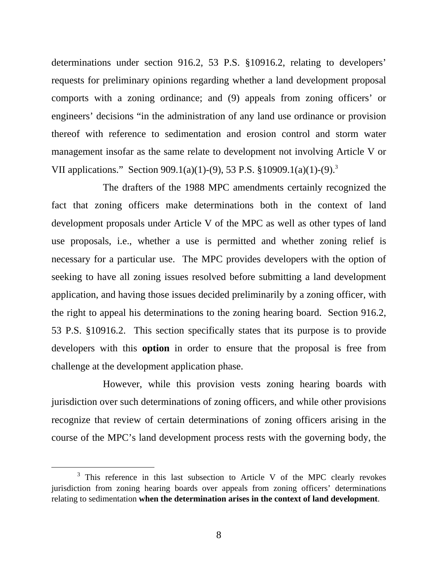determinations under section 916.2, 53 P.S. §10916.2, relating to developers' requests for preliminary opinions regarding whether a land development proposal comports with a zoning ordinance; and (9) appeals from zoning officers' or engineers' decisions "in the administration of any land use ordinance or provision thereof with reference to sedimentation and erosion control and storm water management insofar as the same relate to development not involving Article V or VII applications." Section 909.1(a)(1)-(9), 53 P.S. §10909.1(a)(1)-(9)[.3](#page-7-0)

 The drafters of the 1988 MPC amendments certainly recognized the fact that zoning officers make determinations both in the context of land development proposals under Article V of the MPC as well as other types of land use proposals, i.e., whether a use is permitted and whether zoning relief is necessary for a particular use. The MPC provides developers with the option of seeking to have all zoning issues resolved before submitting a land development application, and having those issues decided preliminarily by a zoning officer, with the right to appeal his determinations to the zoning hearing board. Section 916.2, 53 P.S. §10916.2. This section specifically states that its purpose is to provide developers with this **option** in order to ensure that the proposal is free from challenge at the development application phase.

 However, while this provision vests zoning hearing boards with jurisdiction over such determinations of zoning officers, and while other provisions recognize that review of certain determinations of zoning officers arising in the course of the MPC's land development process rests with the governing body, the

<span id="page-7-0"></span> $\frac{1}{3}$ <sup>3</sup> This reference in this last subsection to Article V of the MPC clearly revokes jurisdiction from zoning hearing boards over appeals from zoning officers' determinations relating to sedimentation **when the determination arises in the context of land development**.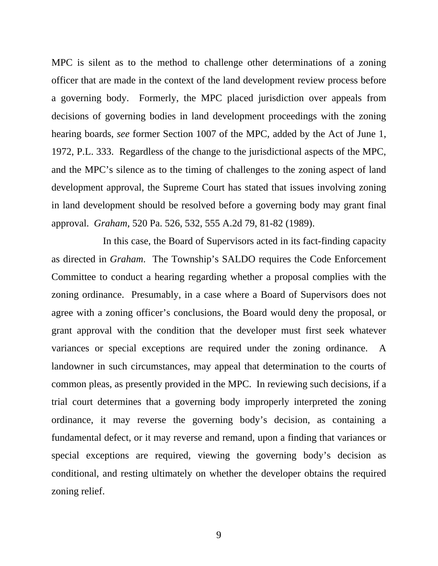MPC is silent as to the method to challenge other determinations of a zoning officer that are made in the context of the land development review process before a governing body. Formerly, the MPC placed jurisdiction over appeals from decisions of governing bodies in land development proceedings with the zoning hearing boards, *see* former Section 1007 of the MPC, added by the Act of June 1, 1972, P.L. 333. Regardless of the change to the jurisdictional aspects of the MPC, and the MPC's silence as to the timing of challenges to the zoning aspect of land development approval, the Supreme Court has stated that issues involving zoning in land development should be resolved before a governing body may grant final approval. *Graham,* 520 Pa. 526, 532, 555 A.2d 79, 81-82 (1989).

 In this case, the Board of Supervisors acted in its fact-finding capacity as directed in *Graham*. The Township's SALDO requires the Code Enforcement Committee to conduct a hearing regarding whether a proposal complies with the zoning ordinance. Presumably, in a case where a Board of Supervisors does not agree with a zoning officer's conclusions, the Board would deny the proposal, or grant approval with the condition that the developer must first seek whatever variances or special exceptions are required under the zoning ordinance. A landowner in such circumstances, may appeal that determination to the courts of common pleas, as presently provided in the MPC. In reviewing such decisions, if a trial court determines that a governing body improperly interpreted the zoning ordinance, it may reverse the governing body's decision, as containing a fundamental defect, or it may reverse and remand, upon a finding that variances or special exceptions are required, viewing the governing body's decision as conditional, and resting ultimately on whether the developer obtains the required zoning relief.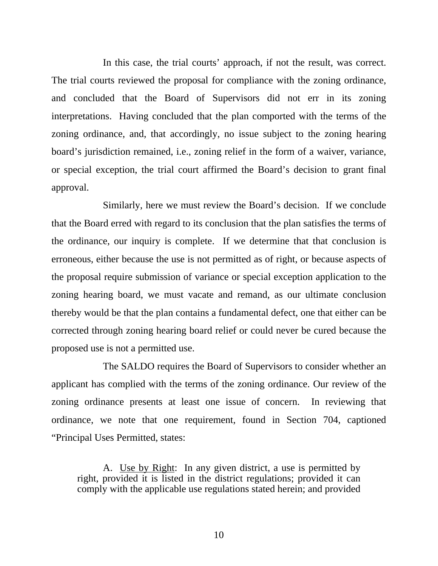In this case, the trial courts' approach, if not the result, was correct. The trial courts reviewed the proposal for compliance with the zoning ordinance, and concluded that the Board of Supervisors did not err in its zoning interpretations. Having concluded that the plan comported with the terms of the zoning ordinance, and, that accordingly, no issue subject to the zoning hearing board's jurisdiction remained, i.e., zoning relief in the form of a waiver, variance, or special exception, the trial court affirmed the Board's decision to grant final approval.

 Similarly, here we must review the Board's decision. If we conclude that the Board erred with regard to its conclusion that the plan satisfies the terms of the ordinance, our inquiry is complete. If we determine that that conclusion is erroneous, either because the use is not permitted as of right, or because aspects of the proposal require submission of variance or special exception application to the zoning hearing board, we must vacate and remand, as our ultimate conclusion thereby would be that the plan contains a fundamental defect, one that either can be corrected through zoning hearing board relief or could never be cured because the proposed use is not a permitted use.

 The SALDO requires the Board of Supervisors to consider whether an applicant has complied with the terms of the zoning ordinance. Our review of the zoning ordinance presents at least one issue of concern. In reviewing that ordinance, we note that one requirement, found in Section 704, captioned "Principal Uses Permitted, states:

 A. Use by Right: In any given district, a use is permitted by right, provided it is listed in the district regulations; provided it can comply with the applicable use regulations stated herein; and provided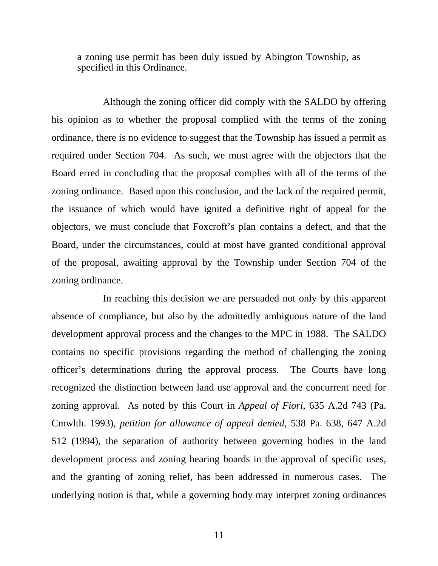a zoning use permit has been duly issued by Abington Township, as specified in this Ordinance.

 Although the zoning officer did comply with the SALDO by offering his opinion as to whether the proposal complied with the terms of the zoning ordinance, there is no evidence to suggest that the Township has issued a permit as required under Section 704. As such, we must agree with the objectors that the Board erred in concluding that the proposal complies with all of the terms of the zoning ordinance. Based upon this conclusion, and the lack of the required permit, the issuance of which would have ignited a definitive right of appeal for the objectors, we must conclude that Foxcroft's plan contains a defect, and that the Board, under the circumstances, could at most have granted conditional approval of the proposal, awaiting approval by the Township under Section 704 of the zoning ordinance.

 In reaching this decision we are persuaded not only by this apparent absence of compliance, but also by the admittedly ambiguous nature of the land development approval process and the changes to the MPC in 1988. The SALDO contains no specific provisions regarding the method of challenging the zoning officer's determinations during the approval process. The Courts have long recognized the distinction between land use approval and the concurrent need for zoning approval. As noted by this Court in *Appeal of Fiori*, 635 A.2d 743 (Pa. Cmwlth. 1993), *petition for allowance of appeal denied*, 538 Pa. 638, 647 A.2d 512 (1994), the separation of authority between governing bodies in the land development process and zoning hearing boards in the approval of specific uses, and the granting of zoning relief, has been addressed in numerous cases. The underlying notion is that, while a governing body may interpret zoning ordinances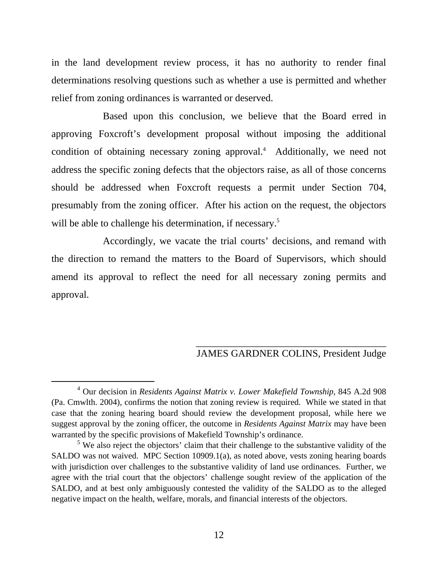in the land development review process, it has no authority to render final determinations resolving questions such as whether a use is permitted and whether relief from zoning ordinances is warranted or deserved.

 Based upon this conclusion, we believe that the Board erred in approving Foxcroft's development proposal without imposing the additional condition of obtaining necessary zoning approval.<sup>[4](#page-11-0)</sup> Additionally, we need not address the specific zoning defects that the objectors raise, as all of those concerns should be addressed when Foxcroft requests a permit under Section 704, presumably from the zoning officer. After his action on the request, the objectors will be able to challenge his determination, if necessary.<sup>[5](#page-11-1)</sup>

 Accordingly, we vacate the trial courts' decisions, and remand with the direction to remand the matters to the Board of Supervisors, which should amend its approval to reflect the need for all necessary zoning permits and approval.

## \_\_\_\_\_\_\_\_\_\_\_\_\_\_\_\_\_\_\_\_\_\_\_\_\_\_\_\_\_\_\_\_\_\_\_\_\_\_ JAMES GARDNER COLINS, President Judge

<span id="page-11-0"></span> $\overline{4}$  Our decision in *Residents Against Matrix v. Lower Makefield Township*, 845 A.2d 908 (Pa. Cmwlth. 2004), confirms the notion that zoning review is required. While we stated in that case that the zoning hearing board should review the development proposal, while here we suggest approval by the zoning officer, the outcome in *Residents Against Matrix* may have been warranted by the specific provisions of Makefield Township's ordinance.

<span id="page-11-1"></span> $<sup>5</sup>$  We also reject the objectors' claim that their challenge to the substantive validity of the</sup> SALDO was not waived. MPC Section 10909.1(a), as noted above, vests zoning hearing boards with jurisdiction over challenges to the substantive validity of land use ordinances. Further, we agree with the trial court that the objectors' challenge sought review of the application of the SALDO, and at best only ambiguously contested the validity of the SALDO as to the alleged negative impact on the health, welfare, morals, and financial interests of the objectors.